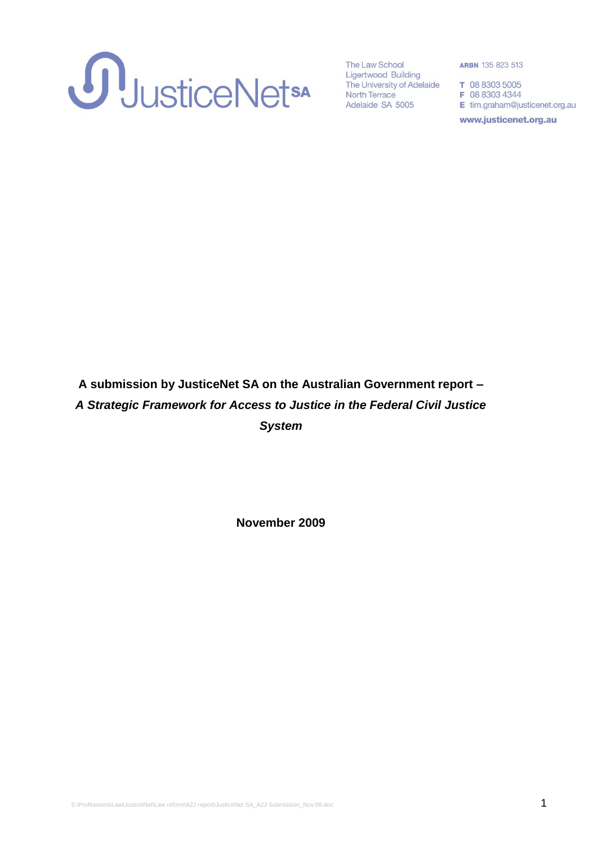

**ARBN 135 823 513** 

E tim.graham@justicenet.org.au

www.justicenet.org.au

# **A submission by JusticeNet SA on the Australian Government report –** *A Strategic Framework for Access to Justice in the Federal Civil Justice System*

**November 2009**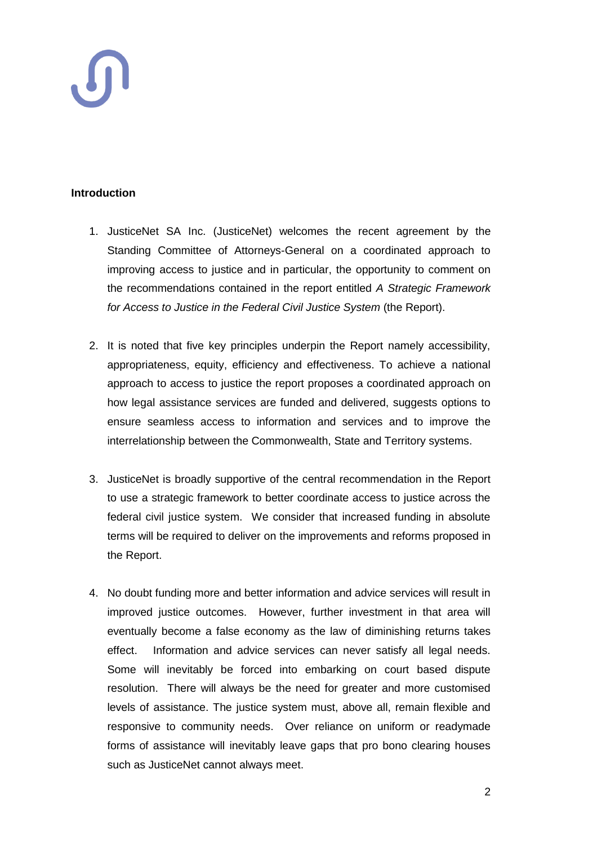## **Introduction**

- 1. JusticeNet SA Inc. (JusticeNet) welcomes the recent agreement by the Standing Committee of Attorneys-General on a coordinated approach to improving access to justice and in particular, the opportunity to comment on the recommendations contained in the report entitled *A Strategic Framework for Access to Justice in the Federal Civil Justice System* (the Report).
- 2. It is noted that five key principles underpin the Report namely accessibility, appropriateness, equity, efficiency and effectiveness. To achieve a national approach to access to justice the report proposes a coordinated approach on how legal assistance services are funded and delivered, suggests options to ensure seamless access to information and services and to improve the interrelationship between the Commonwealth, State and Territory systems.
- 3. JusticeNet is broadly supportive of the central recommendation in the Report to use a strategic framework to better coordinate access to justice across the federal civil justice system. We consider that increased funding in absolute terms will be required to deliver on the improvements and reforms proposed in the Report.
- 4. No doubt funding more and better information and advice services will result in improved justice outcomes. However, further investment in that area will eventually become a false economy as the law of diminishing returns takes effect. Information and advice services can never satisfy all legal needs. Some will inevitably be forced into embarking on court based dispute resolution. There will always be the need for greater and more customised levels of assistance. The justice system must, above all, remain flexible and responsive to community needs. Over reliance on uniform or readymade forms of assistance will inevitably leave gaps that pro bono clearing houses such as JusticeNet cannot always meet.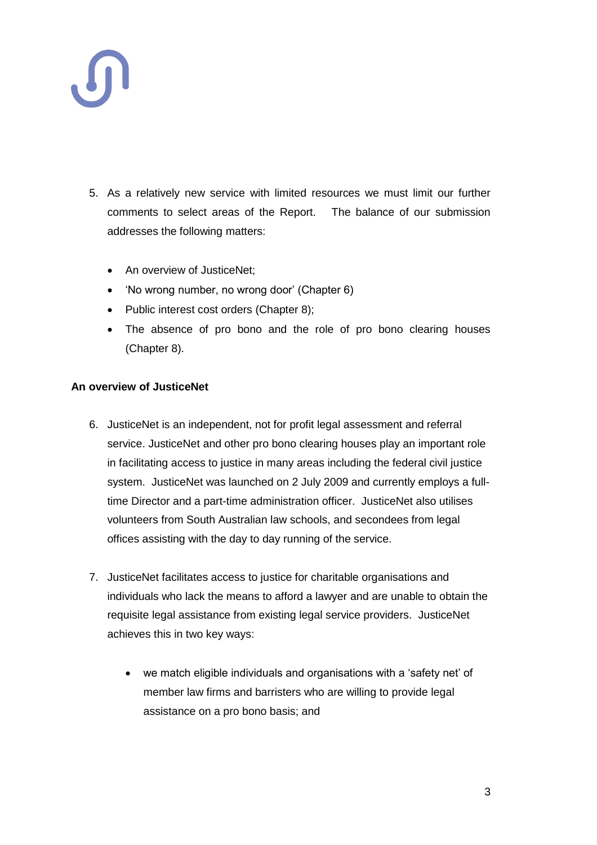

- 5. As a relatively new service with limited resources we must limit our further comments to select areas of the Report. The balance of our submission addresses the following matters:
	- An overview of JusticeNet:
	- 'No wrong number, no wrong door' (Chapter 6)
	- Public interest cost orders (Chapter 8);
	- The absence of pro bono and the role of pro bono clearing houses (Chapter 8).

### **An overview of JusticeNet**

- 6. JusticeNet is an independent, not for profit legal assessment and referral service. JusticeNet and other pro bono clearing houses play an important role in facilitating access to justice in many areas including the federal civil justice system. JusticeNet was launched on 2 July 2009 and currently employs a fulltime Director and a part-time administration officer. JusticeNet also utilises volunteers from South Australian law schools, and secondees from legal offices assisting with the day to day running of the service.
- 7. JusticeNet facilitates access to justice for charitable organisations and individuals who lack the means to afford a lawyer and are unable to obtain the requisite legal assistance from existing legal service providers. JusticeNet achieves this in two key ways:
	- we match eligible individuals and organisations with a 'safety net' of member law firms and barristers who are willing to provide legal assistance on a pro bono basis; and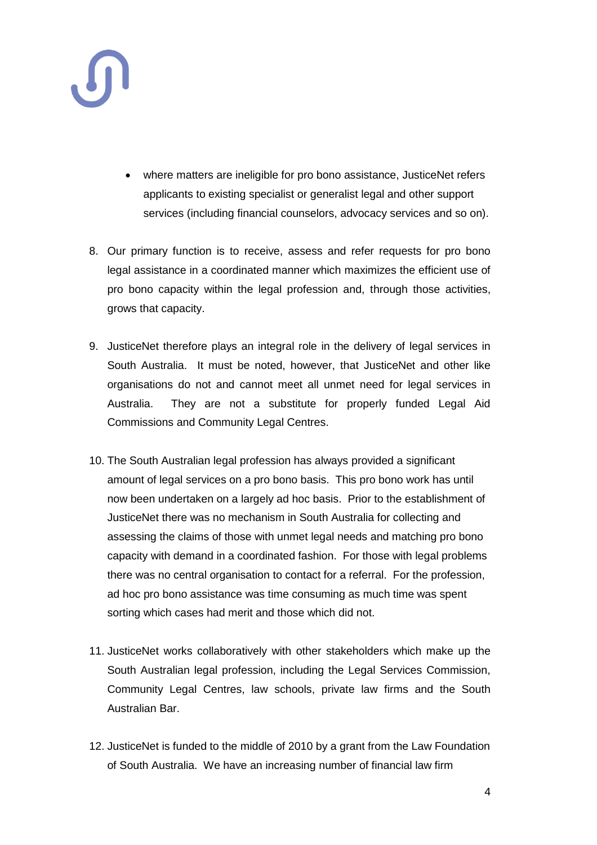

- where matters are ineligible for pro bono assistance, JusticeNet refers applicants to existing specialist or generalist legal and other support services (including financial counselors, advocacy services and so on).
- 8. Our primary function is to receive, assess and refer requests for pro bono legal assistance in a coordinated manner which maximizes the efficient use of pro bono capacity within the legal profession and, through those activities, grows that capacity.
- 9. JusticeNet therefore plays an integral role in the delivery of legal services in South Australia. It must be noted, however, that JusticeNet and other like organisations do not and cannot meet all unmet need for legal services in Australia. They are not a substitute for properly funded Legal Aid Commissions and Community Legal Centres.
- 10. The South Australian legal profession has always provided a significant amount of legal services on a pro bono basis. This pro bono work has until now been undertaken on a largely ad hoc basis. Prior to the establishment of JusticeNet there was no mechanism in South Australia for collecting and assessing the claims of those with unmet legal needs and matching pro bono capacity with demand in a coordinated fashion. For those with legal problems there was no central organisation to contact for a referral. For the profession, ad hoc pro bono assistance was time consuming as much time was spent sorting which cases had merit and those which did not.
- 11. JusticeNet works collaboratively with other stakeholders which make up the South Australian legal profession, including the Legal Services Commission, Community Legal Centres, law schools, private law firms and the South Australian Bar.
- 12. JusticeNet is funded to the middle of 2010 by a grant from the Law Foundation of South Australia. We have an increasing number of financial law firm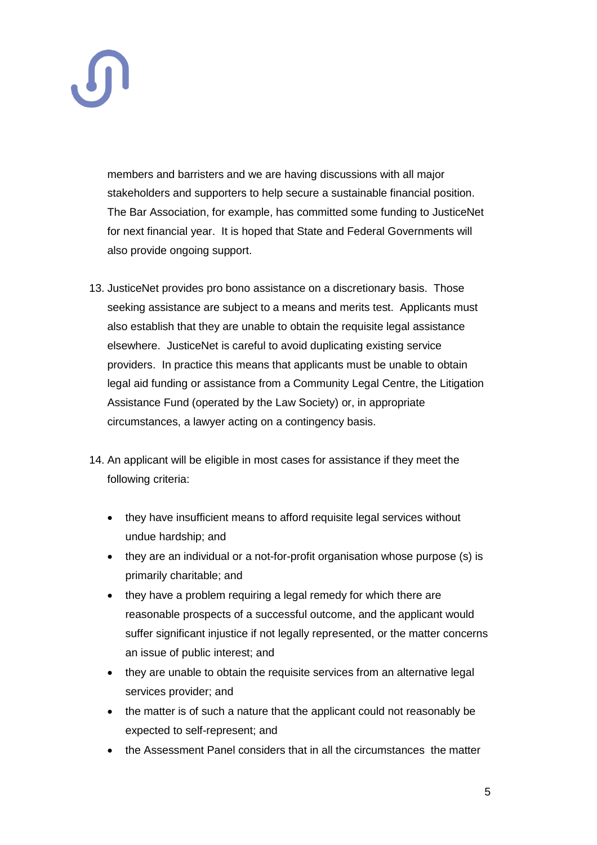

members and barristers and we are having discussions with all major stakeholders and supporters to help secure a sustainable financial position. The Bar Association, for example, has committed some funding to JusticeNet for next financial year. It is hoped that State and Federal Governments will also provide ongoing support.

- 13. JusticeNet provides pro bono assistance on a discretionary basis. Those seeking assistance are subject to a means and merits test. Applicants must also establish that they are unable to obtain the requisite legal assistance elsewhere. JusticeNet is careful to avoid duplicating existing service providers. In practice this means that applicants must be unable to obtain legal aid funding or assistance from a Community Legal Centre, the Litigation Assistance Fund (operated by the Law Society) or, in appropriate circumstances, a lawyer acting on a contingency basis.
- 14. An applicant will be eligible in most cases for assistance if they meet the following criteria:
	- they have insufficient means to afford requisite legal services without undue hardship; and
	- they are an individual or a not-for-profit organisation whose purpose (s) is primarily charitable; and
	- they have a problem requiring a legal remedy for which there are reasonable prospects of a successful outcome, and the applicant would suffer significant injustice if not legally represented, or the matter concerns an issue of public interest; and
	- they are unable to obtain the requisite services from an alternative legal services provider; and
	- the matter is of such a nature that the applicant could not reasonably be expected to self-represent; and
	- the Assessment Panel considers that in all the circumstances the matter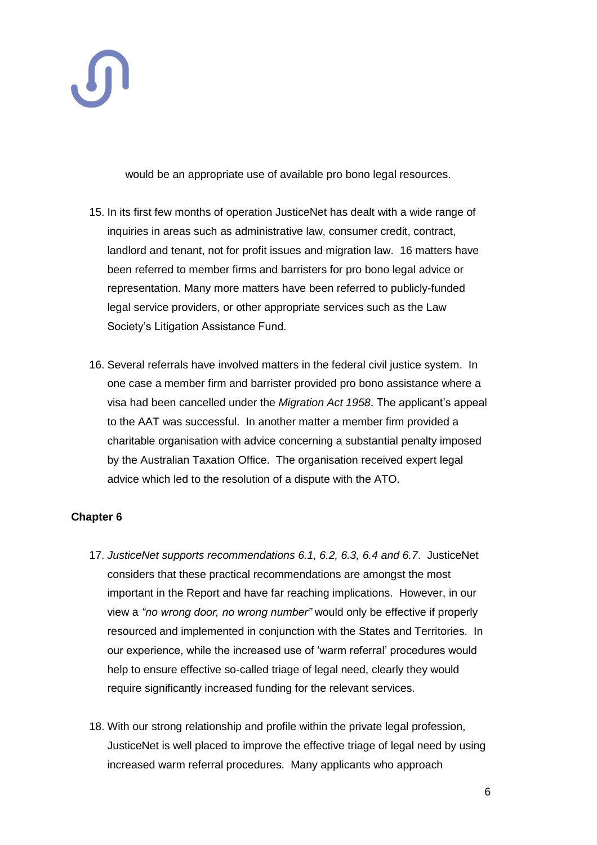

would be an appropriate use of available pro bono legal resources.

- 15. In its first few months of operation JusticeNet has dealt with a wide range of inquiries in areas such as administrative law, consumer credit, contract, landlord and tenant, not for profit issues and migration law. 16 matters have been referred to member firms and barristers for pro bono legal advice or representation. Many more matters have been referred to publicly-funded legal service providers, or other appropriate services such as the Law Society's Litigation Assistance Fund.
- 16. Several referrals have involved matters in the federal civil justice system. In one case a member firm and barrister provided pro bono assistance where a visa had been cancelled under the *Migration Act 1958*. The applicant's appeal to the AAT was successful. In another matter a member firm provided a charitable organisation with advice concerning a substantial penalty imposed by the Australian Taxation Office. The organisation received expert legal advice which led to the resolution of a dispute with the ATO.

# **Chapter 6**

- 17. *JusticeNet supports recommendations 6.1, 6.2, 6.3, 6.4 and 6.7*. JusticeNet considers that these practical recommendations are amongst the most important in the Report and have far reaching implications. However, in our view a *"no wrong door, no wrong number"* would only be effective if properly resourced and implemented in conjunction with the States and Territories. In our experience, while the increased use of 'warm referral' procedures would help to ensure effective so-called triage of legal need, clearly they would require significantly increased funding for the relevant services.
- 18. With our strong relationship and profile within the private legal profession, JusticeNet is well placed to improve the effective triage of legal need by using increased warm referral procedures. Many applicants who approach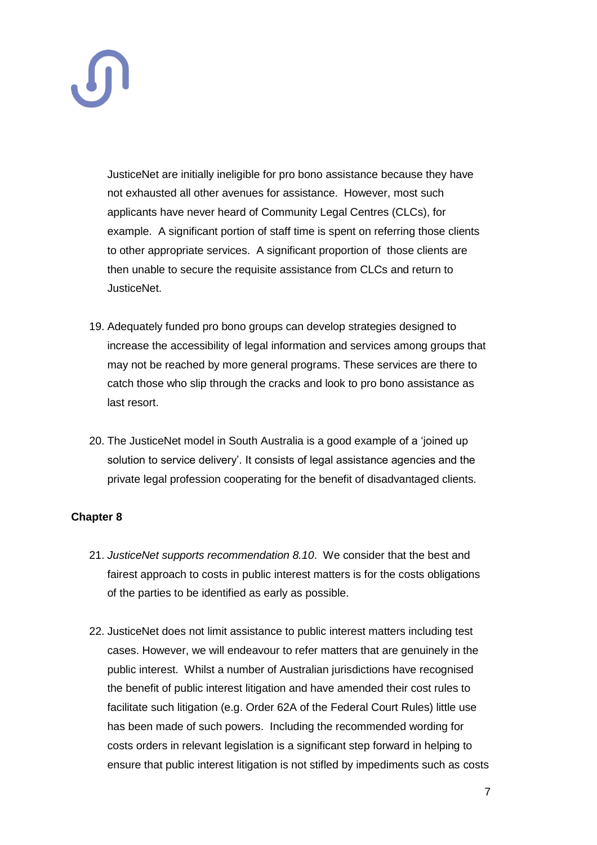JusticeNet are initially ineligible for pro bono assistance because they have not exhausted all other avenues for assistance. However, most such applicants have never heard of Community Legal Centres (CLCs), for example. A significant portion of staff time is spent on referring those clients to other appropriate services. A significant proportion of those clients are then unable to secure the requisite assistance from CLCs and return to JusticeNet.

- 19. Adequately funded pro bono groups can develop strategies designed to increase the accessibility of legal information and services among groups that may not be reached by more general programs. These services are there to catch those who slip through the cracks and look to pro bono assistance as last resort.
- 20. The JusticeNet model in South Australia is a good example of a 'joined up solution to service delivery'. It consists of legal assistance agencies and the private legal profession cooperating for the benefit of disadvantaged clients.

# **Chapter 8**

- 21. *JusticeNet supports recommendation 8.10*. We consider that the best and fairest approach to costs in public interest matters is for the costs obligations of the parties to be identified as early as possible.
- 22. JusticeNet does not limit assistance to public interest matters including test cases. However, we will endeavour to refer matters that are genuinely in the public interest. Whilst a number of Australian jurisdictions have recognised the benefit of public interest litigation and have amended their cost rules to facilitate such litigation (e.g. Order 62A of the Federal Court Rules) little use has been made of such powers. Including the recommended wording for costs orders in relevant legislation is a significant step forward in helping to ensure that public interest litigation is not stifled by impediments such as costs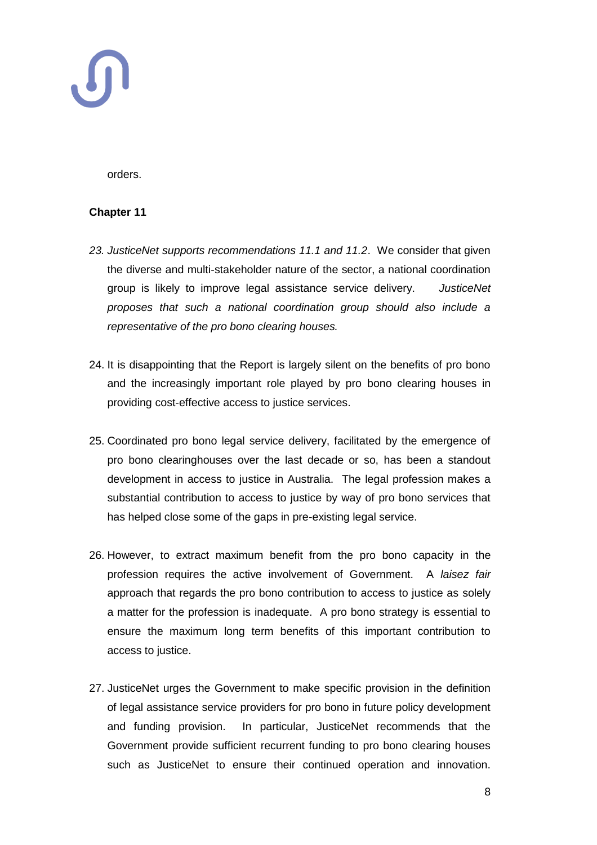

orders.

### **Chapter 11**

- *23. JusticeNet supports recommendations 11.1 and 11.2*. We consider that given the diverse and multi-stakeholder nature of the sector, a national coordination group is likely to improve legal assistance service delivery. *JusticeNet proposes that such a national coordination group should also include a representative of the pro bono clearing houses.*
- 24. It is disappointing that the Report is largely silent on the benefits of pro bono and the increasingly important role played by pro bono clearing houses in providing cost-effective access to justice services.
- 25. Coordinated pro bono legal service delivery, facilitated by the emergence of pro bono clearinghouses over the last decade or so, has been a standout development in access to justice in Australia. The legal profession makes a substantial contribution to access to justice by way of pro bono services that has helped close some of the gaps in pre-existing legal service.
- 26. However, to extract maximum benefit from the pro bono capacity in the profession requires the active involvement of Government. A *laisez fair* approach that regards the pro bono contribution to access to justice as solely a matter for the profession is inadequate. A pro bono strategy is essential to ensure the maximum long term benefits of this important contribution to access to justice.
- 27. JusticeNet urges the Government to make specific provision in the definition of legal assistance service providers for pro bono in future policy development and funding provision. In particular, JusticeNet recommends that the Government provide sufficient recurrent funding to pro bono clearing houses such as JusticeNet to ensure their continued operation and innovation.